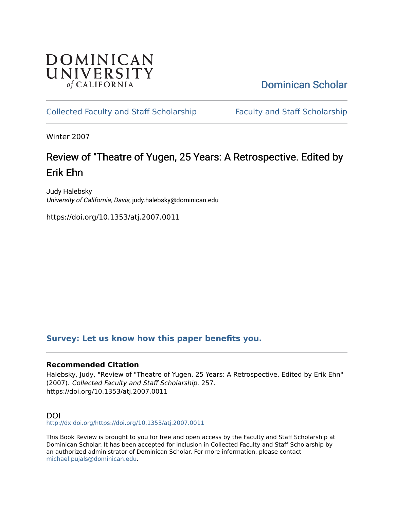

[Dominican Scholar](https://scholar.dominican.edu/) 

## [Collected Faculty and Staff Scholarship](https://scholar.dominican.edu/all-faculty) [Faculty and Staff Scholarship](https://scholar.dominican.edu/faculty-scholarship)

Winter 2007

# Review of "Theatre of Yugen, 25 Years: A Retrospective. Edited by Erik Ehn

Judy Halebsky University of California, Davis, judy.halebsky@dominican.edu

https://doi.org/10.1353/atj.2007.0011

## **[Survey: Let us know how this paper benefits you.](https://dominican.libwizard.com/dominican-scholar-feedback)**

### **Recommended Citation**

Halebsky, Judy, "Review of "Theatre of Yugen, 25 Years: A Retrospective. Edited by Erik Ehn" (2007). Collected Faculty and Staff Scholarship. 257. https://doi.org/10.1353/atj.2007.0011

#### DOI

<http://dx.doi.org/https://doi.org/10.1353/atj.2007.0011>

This Book Review is brought to you for free and open access by the Faculty and Staff Scholarship at Dominican Scholar. It has been accepted for inclusion in Collected Faculty and Staff Scholarship by an authorized administrator of Dominican Scholar. For more information, please contact [michael.pujals@dominican.edu.](mailto:michael.pujals@dominican.edu)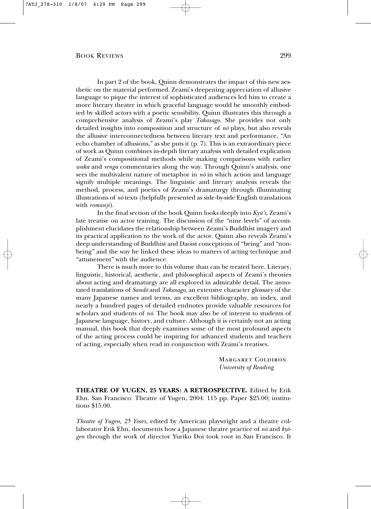#### BOOK REVIEWS 299

In part 2 of the book, Quinn demonstrates the impact of this new aesthetic on the material performed. Zeami's deepening appreciation of allusive language to pique the interest of sophisticated audiences led him to create a more literary theatre in which graceful language would be smoothly embodied by skilled actors with a poetic sensibility. Quinn illustrates this through a comprehensive analysis of Zeami's play *Takasago.* She provides not only detailed insights into composition and structure of *nö* plays, but also reveals the allusive interconnectedness between literary text and performance, "An echo chamber of allusions," as she puts it (p. 7). This is an extraordinary piece of work as Quinn combines in-depth literary analysis with detailed explication of Zeami's compositional methods while making comparisons with earlier *waka* and *renga* commentaries along the way. Through Quinn's analysis, one sees the multivalent nature of metaphor in *nö* in which action and language signify multiple meanings. The linguistic and literary analysis reveals the method, process, and poetics of Zeami's dramaturgy through illuminating illustrations of *nö* texts (helpfully presented as side-by-side English translations with *romanji*).

In the final section of the book Quinn looks deeply into *Kyü'i,* Zeami's late treatise on actor training. The discussion of the "nine levels" of accomplishment elucidates the relationship between Zeami's Buddhist imagery and its practical application to the work of the actor. Quinn also reveals Zeami's deep understanding of Buddhist and Daoist conceptions of "being" and "nonbeing" and the way he linked these ideas to matters of acting technique and "attunement" with the audience.

There is much more to this volume than can be treated here. Literary, linguistic, historical, aesthetic, and philosophical aspects of Zeami's theories about acting and dramaturgy are all explored in admirable detail. The annotated translations of *Sandö* and *Takasago,* an extensive character glossary of the many Japanese names and terms, an excellent bibliography, an index, and nearly a hundred pages of detailed endnotes provide valuable resources for scholars and students of *nö.* The book may also be of interest to students of Japanese language, history, and culture. Although it is certainly not an acting manual, this book that deeply examines some of the most profound aspects of the acting process could be inspiring for advanced students and teachers of acting, especially when read in conjunction with Zeami's treatises.

> Margaret Coldiron *University of Reading*

THEATRE OF YUGEN, 25 YEARS: A RETROSPECTIVE. Edited by Erik Ehn. San Francisco: Theatre of Yugen, 2004. 115 pp. Paper \$25.00; institutions \$15.00.

*Theatre of Yugen, 25 Years,* edited by American playwright and a theatre collaborator Erik Ehn, documents how a Japanese theatre practice of *nö* and *kyögen* through the work of director Yuriko Doi took root in San Francisco. It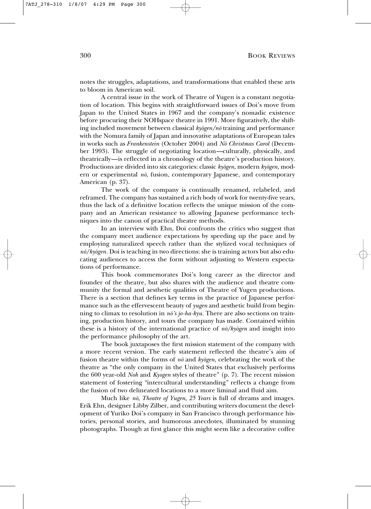notes the struggles, adaptations, and transformations that enabled these arts to bloom in American soil.

A central issue in the work of Theatre of Yugen is a constant negotiation of location. This begins with straightforward issues of Doi's move from Japan to the United States in 1967 and the company's nomadic existence before procuring their NOHspace theatre in 1991. More figuratively, the shifting included movement between classical *kyögen/nö* training and performance with the Nomura family of Japan and innovative adaptations of European tales in works such as *Frankenstein* (October 2004) and *Nö Christmas Carol* (December 1993). The struggle of negotiating location—culturally, physically, and theatrically—is reflected in a chronology of the theatre's production history. Productions are divided into six categories: classic *kyögen,* modern *kyögen,* modern or experimental *nö,* fusion, contemporary Japanese, and contemporary American (p. 37).

The work of the company is continually renamed, relabeled, and reframed. The company has sustained a rich body of work for twenty-five years, thus the lack of a definitive location reflects the unique mission of the company and an American resistance to allowing Japanese performance techniques into the canon of practical theatre methods.

In an interview with Ehn, Doi confronts the critics who suggest that the company meet audience expectations by speeding up the pace and by employing naturalized speech rather than the stylized vocal techniques of *nö/kyögen.* Doi is teaching in two directions: she is training actors but also educating audiences to access the form without adjusting to Western expectations of performance.

This book commemorates Doi's long career as the director and founder of the theatre, but also shares with the audience and theatre community the formal and aesthetic qualities of Theatre of Yugen productions. There is a section that defines key terms in the practice of Japanese performance such as the effervescent beauty of *yugen* and aesthetic build from beginning to climax to resolution in  $n\bar{o}'s$  jo-ha-kyu. There are also sections on training, production history, and tours the company has made. Contained within these is a history of the international practice of *nö/kyögen* and insight into the performance philosophy of the art.

The book juxtaposes the first mission statement of the company with a more recent version. The early statement reflected the theatre's aim of fusion theatre within the forms of *nö* and *kyögen,* celebrating the work of the theatre as "the only company in the United States that exclusively performs the 600 year-old *Noh* and *Kyogen* styles of theatre" (p. 7). The recent mission statement of fostering "intercultural understanding" reflects a change from the fusion of two delineated locations to a more liminal and fluid aim.

Much like *nö, Theatre of Yugen, 25 Years* is full of dreams and images. Erik Ehn, designer Libby Zilber, and contributing writers document the development of Yuriko Doi's company in San Francisco through performance histories, personal stories, and humorous anecdotes, illuminated by stunning photographs. Though at first glance this might seem like a decorative coffee